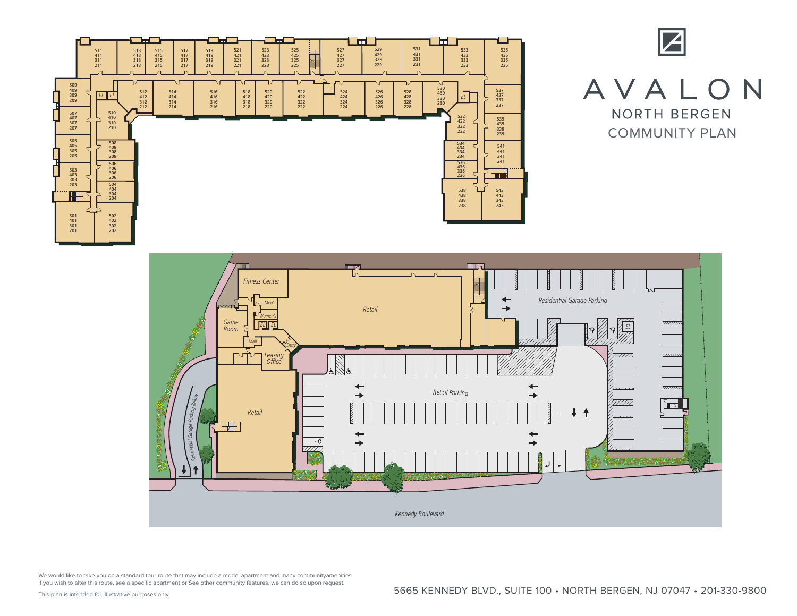





We would like to take you on a standard tour route that may include a model apartment and many communityamenities. If you wish to alter this route, see a specific apartment or See other community features, we can do so upon request. ma<br>r S